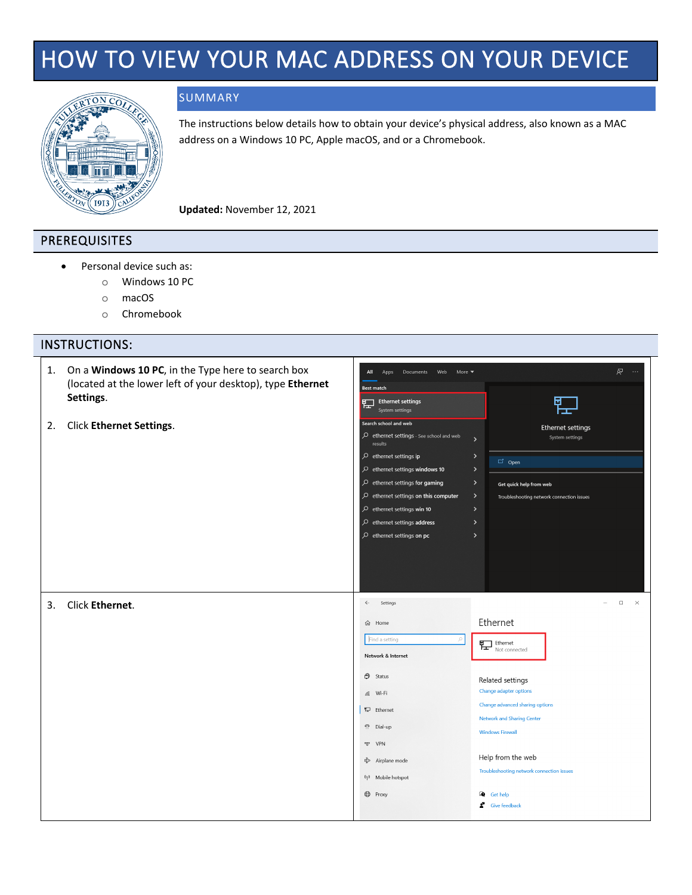# HOW TO VIEW YOUR MAC ADDRESS ON YOUR DEVICE



#### SUMMARY

The instructions below details how to obtain your device's physical address, also known as a MAC address on a Windows 10 PC, Apple macOS, and or a Chromebook.

**Updated:** November 12, 2021

### PREREQUISITES

- Personal device such as:
	- o Windows 10 PC
	- o macOS
	- o Chromebook

#### INSTRUCTIONS:

| Settings.<br>Ethernet settings<br>System settings<br>Search school and web<br><b>Click Ethernet Settings.</b><br>2.<br>Ethernet settings<br>$\mathcal P$ ethernet settings - See school and web<br>System settings<br>$\mathbf{\bar{z}}$<br>results<br>$\varphi$ ethernet settings ip<br>$\rightarrow$<br>$\Box'$ Open<br>$\rho$ ethernet settings windows 10<br>$\rightarrow$<br>$\mathcal{P}$ ethernet settings for gaming<br>$\,$<br>Get quick help from web<br>$\rho$ ethernet settings on this computer<br>$\,$<br>Troubleshooting network connection issues<br>$\rho$ ethernet settings win 10<br>$\,$<br>$\rho$ ethernet settings address<br>$\rightarrow$<br>$\rho$ ethernet settings on pc<br>$\rightarrow$<br>$\Box$<br>$\leftarrow$<br>Settings<br>Click Ethernet.<br>$\overline{\phantom{m}}$<br>3.<br>Ethernet<br>d Home<br>Find a setting<br>P<br>$\begin{picture}(20,10) \put(0,0){\line(1,0){10}} \put(15,0){\line(1,0){10}} \put(15,0){\line(1,0){10}} \put(15,0){\line(1,0){10}} \put(15,0){\line(1,0){10}} \put(15,0){\line(1,0){10}} \put(15,0){\line(1,0){10}} \put(15,0){\line(1,0){10}} \put(15,0){\line(1,0){10}} \put(15,0){\line(1,0){10}} \put(15,0){\line(1,0){10}} \put(15,0){\line(1$<br>Not connected<br>Network & Internet<br><b>A</b> Status<br>Related settings<br>Change adapter options<br>$\mathbb{R}$ Wi-Fi<br>Change advanced sharing options<br>■ Ethernet<br><b>Network and Sharing Center</b><br><u>ි</u> Dial-up<br><b>Windows Firewall</b><br>ogo VPN<br>Help from the web<br>$\frac{1}{2}$ Airplane mode | On a Windows 10 PC, in the Type here to search box<br>1.<br>(located at the lower left of your desktop), type Ethernet | All<br>Documents<br>Web<br>More $\blacktriangledown$<br>Apps<br><b>Best match</b> | Ŗ<br>$\cdots$ |
|-------------------------------------------------------------------------------------------------------------------------------------------------------------------------------------------------------------------------------------------------------------------------------------------------------------------------------------------------------------------------------------------------------------------------------------------------------------------------------------------------------------------------------------------------------------------------------------------------------------------------------------------------------------------------------------------------------------------------------------------------------------------------------------------------------------------------------------------------------------------------------------------------------------------------------------------------------------------------------------------------------------------------------------------------------------------------------------------------------------------------------------------------------------------------------------------------------------------------------------------------------------------------------------------------------------------------------------------------------------------------------------------------------------------------------------------------------------------------------------------------------------------------------------------------------|------------------------------------------------------------------------------------------------------------------------|-----------------------------------------------------------------------------------|---------------|
|                                                                                                                                                                                                                                                                                                                                                                                                                                                                                                                                                                                                                                                                                                                                                                                                                                                                                                                                                                                                                                                                                                                                                                                                                                                                                                                                                                                                                                                                                                                                                       |                                                                                                                        |                                                                                   |               |
|                                                                                                                                                                                                                                                                                                                                                                                                                                                                                                                                                                                                                                                                                                                                                                                                                                                                                                                                                                                                                                                                                                                                                                                                                                                                                                                                                                                                                                                                                                                                                       |                                                                                                                        |                                                                                   |               |
| Troubleshooting network connection issues<br>(p) Mobile hotspot<br>$\bigoplus$ Proxy<br>ଛ<br><b>Get help</b><br>r                                                                                                                                                                                                                                                                                                                                                                                                                                                                                                                                                                                                                                                                                                                                                                                                                                                                                                                                                                                                                                                                                                                                                                                                                                                                                                                                                                                                                                     |                                                                                                                        |                                                                                   | $\times$      |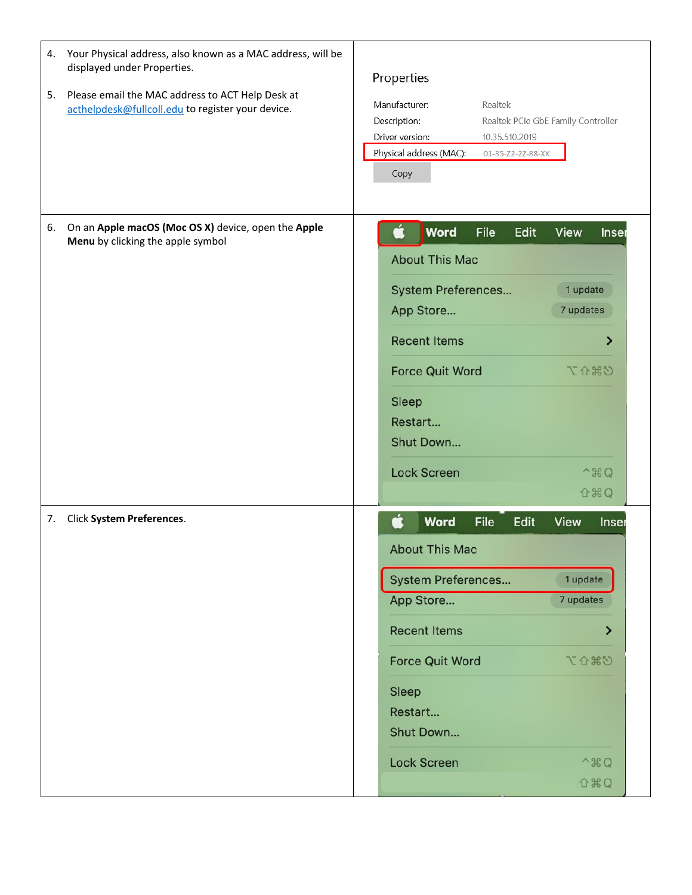| Your Physical address, also known as a MAC address, will be<br>4.<br>displayed under Properties.<br>Please email the MAC address to ACT Help Desk at<br>5.<br>acthelpdesk@fullcoll.edu to register your device. | Properties<br>Manufacturer:<br>Realtek<br>Description:<br>Realtek PCIe GbE Family Controller<br>Driver version:<br>10.35.510.2019<br>Physical address (MAC):<br>01-35-Z2-2Z-88-XX<br>Copy                                                                                                                                       |
|-----------------------------------------------------------------------------------------------------------------------------------------------------------------------------------------------------------------|---------------------------------------------------------------------------------------------------------------------------------------------------------------------------------------------------------------------------------------------------------------------------------------------------------------------------------|
| On an Apple macOS (Moc OS X) device, open the Apple<br>6.<br>Menu by clicking the apple symbol                                                                                                                  | <b>Word</b><br>File<br>Edit<br><b>View</b><br><b>Inser</b><br><b>About This Mac</b><br><b>System Preferences</b><br>1 update<br>7 updates<br>App Store<br><b>Recent Items</b><br>$\rightarrow$<br><b>Force Quit Word</b><br>こんまひ<br>Sleep<br>Restart<br>Shut Down<br>$^{\wedge}$ $\#$ $Q$<br><b>Lock Screen</b>                 |
| Click System Preferences.<br>7.                                                                                                                                                                                 | <b>介出Q</b><br>File<br>Edit<br><b>View</b><br><b>Word</b><br>Inser<br><b>About This Mac</b><br><b>System Preferences</b><br>1 update<br>App Store<br>7 updates<br><b>Recent Items</b><br>⋗<br><b>Force Quit Word</b><br>心跳心了<br>Sleep<br>Restart<br>Shut Down<br>$^{\wedge}$ $\mathcal{H}$ Q<br><b>Lock Screen</b><br><b>介出Q</b> |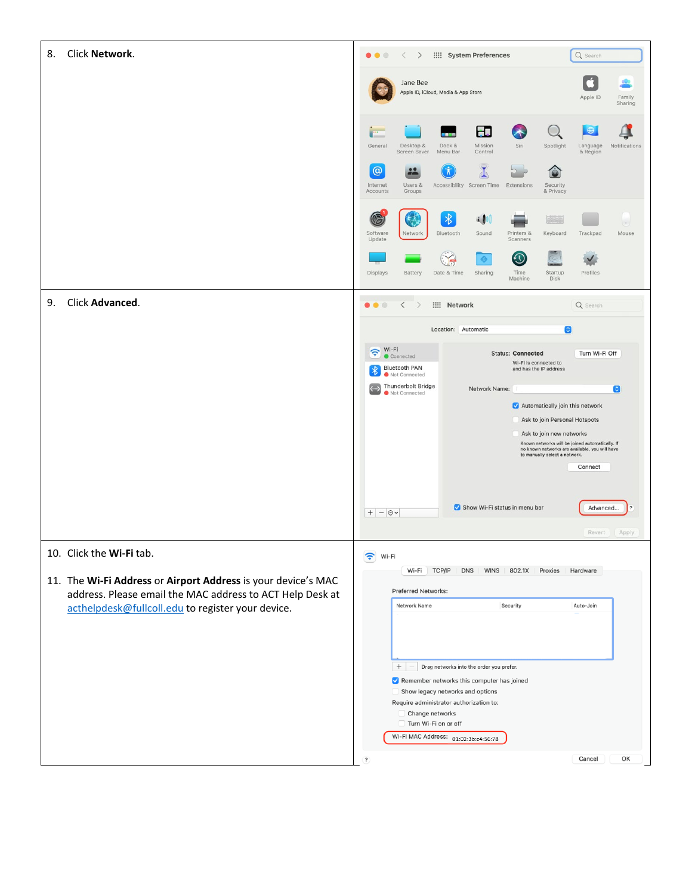| 8.<br>Click Network.                                                                                           | :::: System Preferences<br>Q Search<br>$\bullet\bullet\hspace{0.1cm} \bullet\hspace{0.1cm}\hspace{0.1cm} \hspace{0.1cm} \hspace{0.1cm} \hspace{0.1cm} \hspace{0.1cm} \hspace{0.1cm} \hspace{0.1cm} \hspace{0.1cm} \hspace{0.1cm} \hspace{0.1cm} \hspace{0.1cm} \hspace{0.1cm} \hspace{0.1cm} \hspace{0.1cm} \hspace{0.1cm} \hspace{0.1cm} \hspace{0.1cm} \hspace{0.1cm} \hspace{0.1cm} \hspace{0.1cm} \hspace{0.1cm} \hspace{0.1cm$<br>$\rightarrow$ |  |  |  |
|----------------------------------------------------------------------------------------------------------------|------------------------------------------------------------------------------------------------------------------------------------------------------------------------------------------------------------------------------------------------------------------------------------------------------------------------------------------------------------------------------------------------------------------------------------------------------|--|--|--|
|                                                                                                                | Jane Bee<br>Apple ID, iCloud, Media & App Store<br>Apple ID<br>Family<br>Sharing                                                                                                                                                                                                                                                                                                                                                                     |  |  |  |
|                                                                                                                | e.<br>⊕<br>Im <sub>1</sub><br><b>A</b> TO<br>General<br>Desktop &<br>Dock &<br>Mission<br>Siri<br>Spotlight<br>Language<br>Notifications<br>Screen Saver<br>Menu Bar<br>Control<br>& Region<br>$\bar{\mathbf{I}}$<br>$\circledcirc$<br>π                                                                                                                                                                                                             |  |  |  |
|                                                                                                                | Internet<br>Users &<br>Accessibility Screen Time<br>Extensions<br>Security<br>Accounts<br>Groups<br>& Privacy                                                                                                                                                                                                                                                                                                                                        |  |  |  |
|                                                                                                                | $\ast$<br>C<br>$\mathbf{d}(\mathbf{0})$<br>$\epsilon$ .<br>Software<br>Bluetooth<br>Network<br>Printers &<br>Keyboard<br>Trackpad<br>Sound<br>Mouse<br>Update<br>Scanners                                                                                                                                                                                                                                                                            |  |  |  |
|                                                                                                                | $\bigodot$<br>$\frac{1}{17}$<br>۵<br>Time<br>Startup<br>Profiles<br>Displays<br>Battery<br>Date & Time<br>Sharing<br>Machine<br><b>Disk</b>                                                                                                                                                                                                                                                                                                          |  |  |  |
| 9.<br>Click Advanced.                                                                                          | <b>:::: Network</b><br>Q Search<br>$\bullet\bullet\circ$<br>$\langle$<br>$\rightarrow$                                                                                                                                                                                                                                                                                                                                                               |  |  |  |
|                                                                                                                | Θ<br>Location: Automatic                                                                                                                                                                                                                                                                                                                                                                                                                             |  |  |  |
|                                                                                                                | Wi-Fi<br>$\hat{\boldsymbol{\gamma}}$<br><b>Status: Connected</b><br>Turn Wi-Fi Off<br>Connected<br>Wi-Fi is connected to<br><b>Bluetooth PAN</b><br>and has the IP address<br>∦<br>Not Connected                                                                                                                                                                                                                                                     |  |  |  |
|                                                                                                                | Thunderbolt Bridge<br>$\overline{\langle \cdots \rangle}$<br>Network Name:<br>Θ<br>Not Connected                                                                                                                                                                                                                                                                                                                                                     |  |  |  |
|                                                                                                                | Automatically join this network<br>Ask to join Personal Hotspots                                                                                                                                                                                                                                                                                                                                                                                     |  |  |  |
|                                                                                                                | Ask to join new networks<br>Known networks will be joined automatically. If<br>no known networks are available, you will have<br>to manually select a network.                                                                                                                                                                                                                                                                                       |  |  |  |
|                                                                                                                | Connect                                                                                                                                                                                                                                                                                                                                                                                                                                              |  |  |  |
|                                                                                                                | Show Wi-Fi status in menu bar<br>Advanced                                                                                                                                                                                                                                                                                                                                                                                                            |  |  |  |
|                                                                                                                | $+$ - $\odot$ v<br>Revert<br>Apply                                                                                                                                                                                                                                                                                                                                                                                                                   |  |  |  |
| 10. Click the Wi-Fi tab.                                                                                       | $\widehat{\mathcal{F}}$<br>Wi-Fi                                                                                                                                                                                                                                                                                                                                                                                                                     |  |  |  |
| 11. The Wi-Fi Address or Airport Address is your device's MAC                                                  | Wi-Fi<br>TCP/IP<br><b>DNS</b><br><b>WINS</b><br>802.1X<br>Proxies<br>Hardware                                                                                                                                                                                                                                                                                                                                                                        |  |  |  |
| address. Please email the MAC address to ACT Help Desk at<br>acthelpdesk@fullcoll.edu to register your device. | Preferred Networks:<br>Network Name<br>Auto-Join<br>Security                                                                                                                                                                                                                                                                                                                                                                                         |  |  |  |
|                                                                                                                |                                                                                                                                                                                                                                                                                                                                                                                                                                                      |  |  |  |
|                                                                                                                | $^{+}$                                                                                                                                                                                                                                                                                                                                                                                                                                               |  |  |  |
|                                                                                                                | Drag networks into the order you prefer.<br>Remember networks this computer has joined                                                                                                                                                                                                                                                                                                                                                               |  |  |  |
|                                                                                                                | Show legacy networks and options<br>Require administrator authorization to:<br>Change networks                                                                                                                                                                                                                                                                                                                                                       |  |  |  |
|                                                                                                                | Turn Wi-Fi on or off<br>Wi-Fi MAC Address: 01:02:3b:c4:56:78                                                                                                                                                                                                                                                                                                                                                                                         |  |  |  |
|                                                                                                                | OK<br>Cancel<br>$\overline{\mathbf{?}}$                                                                                                                                                                                                                                                                                                                                                                                                              |  |  |  |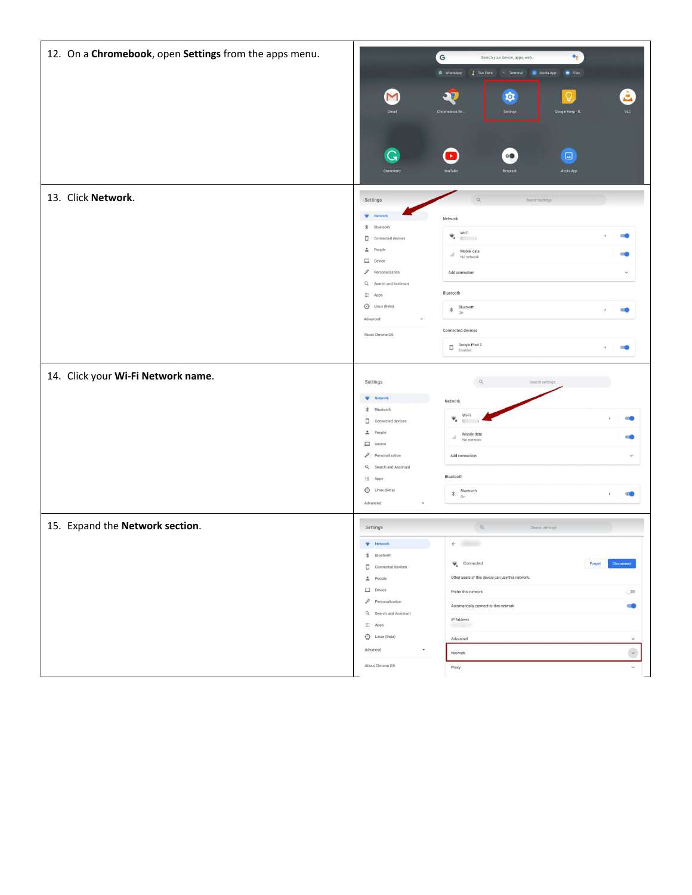| 12. On a Chromebook, open Settings from the apps menu. | G<br>G                                                                                                                                                                                                                    | $\bullet_{\sharp}$<br>Search your device, apps, web.<br>Tux Paint > Terminal (2) Media App<br><sup>9</sup> WhatsApp<br><b>C</b> Files<br>$\bullet$<br>5Q<br>Chromebook Re.<br>Google Keep - N.<br>Settings<br>$\Box$<br>$\blacktriangleright$<br>$\circ\bullet$<br>Media App<br>ouTube                                                                                                                                                 |
|--------------------------------------------------------|---------------------------------------------------------------------------------------------------------------------------------------------------------------------------------------------------------------------------|----------------------------------------------------------------------------------------------------------------------------------------------------------------------------------------------------------------------------------------------------------------------------------------------------------------------------------------------------------------------------------------------------------------------------------------|
| 13. Click Network.                                     | Settings<br>Wetwork<br>$*$<br>Bluetooth<br>0<br>Connected devices<br>$P^e$ People<br>Д<br>Device<br>$P$ ersonalization<br>Q Search and Assistant<br>III Apps<br>Linux (Beta)<br>Advanced<br>About Chrome OS               | $\mathbb{Q}$<br>Search settings<br>Network<br>Wi-Fi<br>$\overline{\Psi}_k$ , we<br>we $\hspace{0.1cm}$<br>Mobile data<br>$\cal A$<br>No network<br>Add connection<br>Bluetooth<br>Bluetooth<br>$\ast$<br>On<br>Connected devices<br>Google Pixel 2<br>Q/L<br>Enabled                                                                                                                                                                   |
| 14. Click your Wi-Fi Network name.                     | Settings<br>Network<br>* Bluetooth<br>$\Box$<br>Connected devices<br>$P^e$ People<br>$\Box$ Device<br>Personalization<br>Q Search and Assistant<br>: Apps<br>Linux (Beta)<br>Advanced                                     | Q<br>Search settings<br>Network<br>Wi-Fi<br>$\overline{\mathbf{v}}_a$<br><b>CO</b><br>$\,$<br>Mobile data<br>6<br>$\cal A$<br>No network<br>Add connection<br>$\checkmark$<br>Bluetooth<br>Bluetooth<br>$\ast$<br>$\blacktriangleright$<br><b>CO</b><br>On                                                                                                                                                                             |
| 15. Expand the Network section.                        | Settings<br>Network<br><b>*</b> Bluetooth<br>$\Box$ Connected devices<br>$P^e$ People<br>$\Box$ Device<br>$\mathscr O$ Personalization<br>Q Search and Assistant<br>: Apps<br>Linux (Beta)<br>Advanced<br>About Chrome OS | $\mathbb{Q}$<br>Search settings<br>$\leftarrow$<br>$\widehat{\overline{\Psi_{\hat{\mathbf{a}}}}}$ . Connected<br><b>Disconnect</b><br>Forget<br>Other users of this device can use this network.<br>Prefer this network<br>$\subset$<br>Automatically connect to this network<br>$\textcolor{red}{\bullet}$<br>IP Address<br><b><i><i><u>STORY OF THE</u></i></i></b><br>Advanced<br>$\checkmark$<br>$_{\check{}}$<br>Network<br>Proxy |